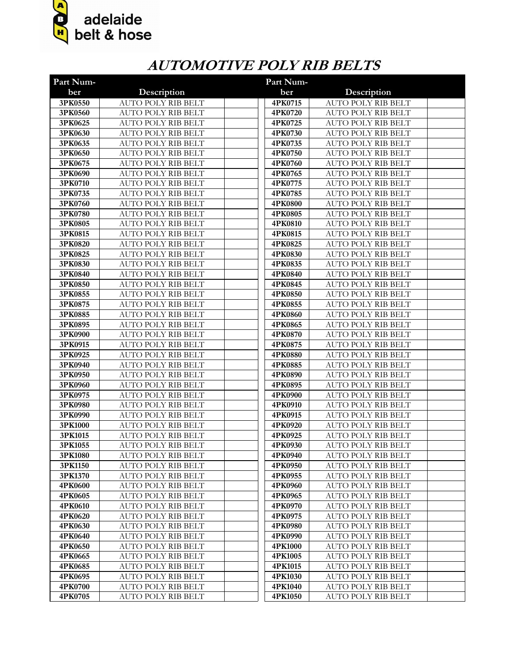

## **AUTOMOTIVE POLY RIB BELTS**

| Part Num-          |                                                        | Part Num-          |                                                        |  |
|--------------------|--------------------------------------------------------|--------------------|--------------------------------------------------------|--|
| ber                | Description                                            | ber                | Description                                            |  |
| 3PK0550            | AUTO POLY RIB BELT                                     | 4PK0715            | AUTO POLY RIB BELT                                     |  |
| 3PK0560            | <b>AUTO POLY RIB BELT</b>                              | 4PK0720            | <b>AUTO POLY RIB BELT</b>                              |  |
| 3PK0625            | <b>AUTO POLY RIB BELT</b>                              | 4PK0725            | AUTO POLY RIB BELT                                     |  |
| 3PK0630            | <b>AUTO POLY RIB BELT</b>                              | 4PK0730            | AUTO POLY RIB BELT                                     |  |
| 3PK0635            | <b>AUTO POLY RIB BELT</b>                              | 4PK0735            | AUTO POLY RIB BELT                                     |  |
| 3PK0650            | <b>AUTO POLY RIB BELT</b>                              | 4PK0750            | AUTO POLY RIB BELT                                     |  |
| 3PK0675            | <b>AUTO POLY RIB BELT</b>                              | 4PK0760            | <b>AUTO POLY RIB BELT</b>                              |  |
| 3PK0690            | <b>AUTO POLY RIB BELT</b>                              | 4PK0765            | <b>AUTO POLY RIB BELT</b>                              |  |
| 3PK0710            | <b>AUTO POLY RIB BELT</b>                              | 4PK0775            | <b>AUTO POLY RIB BELT</b>                              |  |
| 3PK0735            | <b>AUTO POLY RIB BELT</b>                              | 4PK0785            | <b>AUTO POLY RIB BELT</b>                              |  |
| 3PK0760            | <b>AUTO POLY RIB BELT</b>                              | 4PK0800            | <b>AUTO POLY RIB BELT</b>                              |  |
| 3PK0780            | <b>AUTO POLY RIB BELT</b>                              | 4PK0805            | <b>AUTO POLY RIB BELT</b>                              |  |
| 3PK0805            | <b>AUTO POLY RIB BELT</b>                              | 4PK0810            | <b>AUTO POLY RIB BELT</b>                              |  |
| 3PK0815            | <b>AUTO POLY RIB BELT</b>                              | 4PK0815            | <b>AUTO POLY RIB BELT</b>                              |  |
| 3PK0820            | <b>AUTO POLY RIB BELT</b>                              | 4PK0825            | <b>AUTO POLY RIB BELT</b>                              |  |
| 3PK0825            | <b>AUTO POLY RIB BELT</b>                              | 4PK0830            | <b>AUTO POLY RIB BELT</b>                              |  |
| 3PK0830            | <b>AUTO POLY RIB BELT</b>                              | 4PK0835            | <b>AUTO POLY RIB BELT</b>                              |  |
| 3PK0840            | <b>AUTO POLY RIB BELT</b>                              | 4PK0840            | <b>AUTO POLY RIB BELT</b>                              |  |
| 3PK0850            | <b>AUTO POLY RIB BELT</b>                              | 4PK0845            | AUTO POLY RIB BELT                                     |  |
| 3PK0855            | AUTO POLY RIB BELT                                     | 4PK0850            | AUTO POLY RIB BELT                                     |  |
| 3PK0875            | AUTO POLY RIB BELT                                     | 4PK0855            | AUTO POLY RIB BELT                                     |  |
| 3PK0885            | <b>AUTO POLY RIB BELT</b>                              | 4PK0860            | AUTO POLY RIB BELT                                     |  |
| 3PK0895            | <b>AUTO POLY RIB BELT</b>                              | 4PK0865            | <b>AUTO POLY RIB BELT</b>                              |  |
| 3PK0900            | <b>AUTO POLY RIB BELT</b>                              | 4PK0870            | <b>AUTO POLY RIB BELT</b>                              |  |
| 3PK0915            | <b>AUTO POLY RIB BELT</b>                              | 4PK0875            | <b>AUTO POLY RIB BELT</b>                              |  |
| 3PK0925            | <b>AUTO POLY RIB BELT</b>                              | 4PK0880            | <b>AUTO POLY RIB BELT</b>                              |  |
| 3PK0940            | <b>AUTO POLY RIB BELT</b>                              | 4PK0885            | <b>AUTO POLY RIB BELT</b>                              |  |
| 3PK0950            | <b>AUTO POLY RIB BELT</b>                              | 4PK0890            | <b>AUTO POLY RIB BELT</b>                              |  |
| 3PK0960<br>3PK0975 | <b>AUTO POLY RIB BELT</b><br><b>AUTO POLY RIB BELT</b> | 4PK0895<br>4PK0900 | <b>AUTO POLY RIB BELT</b><br><b>AUTO POLY RIB BELT</b> |  |
| 3PK0980            | <b>AUTO POLY RIB BELT</b>                              | 4PK0910            | <b>AUTO POLY RIB BELT</b>                              |  |
| 3PK0990            | <b>AUTO POLY RIB BELT</b>                              | 4PK0915            | <b>AUTO POLY RIB BELT</b>                              |  |
| 3PK1000            | <b>AUTO POLY RIB BELT</b>                              | 4PK0920            | <b>AUTO POLY RIB BELT</b>                              |  |
| 3PK1015            | <b>AUTO POLY RIB BELT</b>                              | 4PK0925            | <b>AUTO POLY RIB BELT</b>                              |  |
| 3PK1055            | <b>AUTO POLY RIB BELT</b>                              | 4PK0930            | <b>AUTO POLY RIB BELT</b>                              |  |
| 3PK1080            | AUTO POLY RIB BELT                                     | 4PK0940            | AUTO POLY RIB BELT                                     |  |
| 3PK1150            | AUTO POLY RIB BELT                                     | 4PK0950            | AUTO POLY RIB BELT                                     |  |
| 3PK1370            | AUTO POLY RIB BELT                                     | 4PK0955            | AUTO POLY RIB BELT                                     |  |
| 4PK0600            | <b>AUTO POLY RIB BELT</b>                              | 4PK0960            | AUTO POLY RIB BELT                                     |  |
| 4PK0605            | <b>AUTO POLY RIB BELT</b>                              | 4PK0965            | AUTO POLY RIB BELT                                     |  |
| 4PK0610            | <b>AUTO POLY RIB BELT</b>                              | 4PK0970            | AUTO POLY RIB BELT                                     |  |
| 4PK0620            | <b>AUTO POLY RIB BELT</b>                              | 4PK0975            | AUTO POLY RIB BELT                                     |  |
| 4PK0630            | AUTO POLY RIB BELT                                     | 4PK0980            | AUTO POLY RIB BELT                                     |  |
| 4PK0640            | AUTO POLY RIB BELT                                     | 4PK0990            | AUTO POLY RIB BELT                                     |  |
| 4PK0650            | AUTO POLY RIB BELT                                     | 4PK1000            | AUTO POLY RIB BELT                                     |  |
| 4PK0665            | AUTO POLY RIB BELT                                     | 4PK1005            | AUTO POLY RIB BELT                                     |  |
| 4PK0685            | AUTO POLY RIB BELT                                     | 4PK1015            | AUTO POLY RIB BELT                                     |  |
| 4PK0695            | AUTO POLY RIB BELT                                     | 4PK1030            | AUTO POLY RIB BELT                                     |  |
| 4PK0700            | AUTO POLY RIB BELT                                     | 4PK1040            | AUTO POLY RIB BELT                                     |  |
| 4PK0705            | <b>AUTO POLY RIB BELT</b>                              | 4PK1050            | AUTO POLY RIB BELT                                     |  |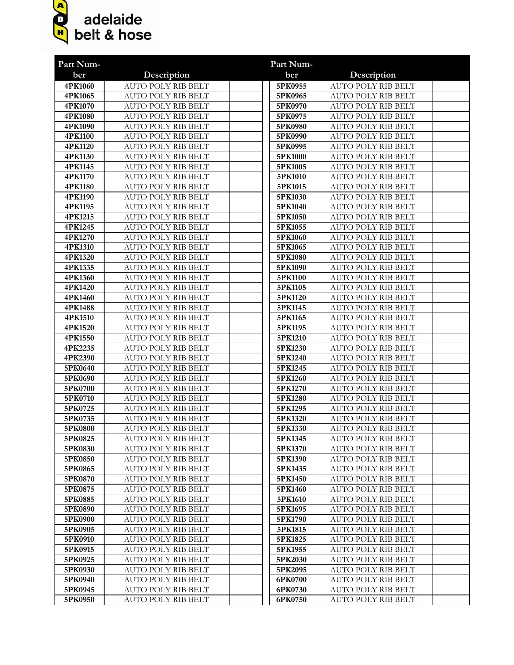

| Part Num-          |                                                        | Part Num-          |                                                        |
|--------------------|--------------------------------------------------------|--------------------|--------------------------------------------------------|
| ber                | Description                                            | ber                | Description                                            |
| 4PK1060            | <b>AUTO POLY RIB BELT</b>                              | 5PK0955            | <b>AUTO POLY RIB BELT</b>                              |
| 4PK1065            | <b>AUTO POLY RIB BELT</b>                              | 5PK0965            | <b>AUTO POLY RIB BELT</b>                              |
| 4PK1070            | <b>AUTO POLY RIB BELT</b>                              | 5PK0970            | <b>AUTO POLY RIB BELT</b>                              |
| 4PK1080            | <b>AUTO POLY RIB BELT</b>                              | 5PK0975            | <b>AUTO POLY RIB BELT</b>                              |
| 4PK1090            | <b>AUTO POLY RIB BELT</b>                              | 5PK0980            | <b>AUTO POLY RIB BELT</b>                              |
| 4PK1100            | <b>AUTO POLY RIB BELT</b>                              | 5PK0990            | <b>AUTO POLY RIB BELT</b>                              |
| 4PK1120            | <b>AUTO POLY RIB BELT</b>                              | 5PK0995            | <b>AUTO POLY RIB BELT</b>                              |
| 4PK1130            | <b>AUTO POLY RIB BELT</b>                              | 5PK1000            | <b>AUTO POLY RIB BELT</b>                              |
| 4PK1145            | <b>AUTO POLY RIB BELT</b>                              | 5PK1005            | <b>AUTO POLY RIB BELT</b>                              |
| 4PK1170            | <b>AUTO POLY RIB BELT</b>                              | 5PK1010            | <b>AUTO POLY RIB BELT</b>                              |
| 4PK1180            | <b>AUTO POLY RIB BELT</b>                              | 5PK1015            | <b>AUTO POLY RIB BELT</b>                              |
| 4PK1190            | <b>AUTO POLY RIB BELT</b>                              | 5PK1030            | <b>AUTO POLY RIB BELT</b>                              |
| 4PK1195            | <b>AUTO POLY RIB BELT</b>                              | 5PK1040            | <b>AUTO POLY RIB BELT</b>                              |
| 4PK1215            | <b>AUTO POLY RIB BELT</b>                              | 5PK1050            | <b>AUTO POLY RIB BELT</b>                              |
| 4PK1245            | <b>AUTO POLY RIB BELT</b>                              | 5PK1055            | <b>AUTO POLY RIB BELT</b>                              |
| 4PK1270            | <b>AUTO POLY RIB BELT</b>                              | 5PK1060            | <b>AUTO POLY RIB BELT</b>                              |
| 4PK1310            | <b>AUTO POLY RIB BELT</b>                              | 5PK1065            | <b>AUTO POLY RIB BELT</b>                              |
| 4PK1320            | <b>AUTO POLY RIB BELT</b>                              | 5PK1080            | <b>AUTO POLY RIB BELT</b><br><b>AUTO POLY RIB BELT</b> |
| 4PK1335            | <b>AUTO POLY RIB BELT</b><br><b>AUTO POLY RIB BELT</b> | 5PK1090            | <b>AUTO POLY RIB BELT</b>                              |
| 4PK1360<br>4PK1420 | <b>AUTO POLY RIB BELT</b>                              | 5PK1100<br>5PK1105 | <b>AUTO POLY RIB BELT</b>                              |
| 4PK1460            | <b>AUTO POLY RIB BELT</b>                              | 5PK1120            | <b>AUTO POLY RIB BELT</b>                              |
| 4PK1488            | <b>AUTO POLY RIB BELT</b>                              | 5PK1145            | <b>AUTO POLY RIB BELT</b>                              |
| 4PK1510            | <b>AUTO POLY RIB BELT</b>                              | 5PK1165            | <b>AUTO POLY RIB BELT</b>                              |
| 4PK1520            | <b>AUTO POLY RIB BELT</b>                              | 5PK1195            | <b>AUTO POLY RIB BELT</b>                              |
| 4PK1550            | <b>AUTO POLY RIB BELT</b>                              | 5PK1210            | <b>AUTO POLY RIB BELT</b>                              |
| 4PK2235            | <b>AUTO POLY RIB BELT</b>                              | 5PK1230            | <b>AUTO POLY RIB BELT</b>                              |
| 4PK2390            | <b>AUTO POLY RIB BELT</b>                              | 5PK1240            | <b>AUTO POLY RIB BELT</b>                              |
| 5PK0640            | <b>AUTO POLY RIB BELT</b>                              | 5PK1245            | <b>AUTO POLY RIB BELT</b>                              |
| 5PK0690            | <b>AUTO POLY RIB BELT</b>                              | 5PK1260            | AUTO POLY RIB BELT                                     |
| 5PK0700            | <b>AUTO POLY RIB BELT</b>                              | 5PK1270            | <b>AUTO POLY RIB BELT</b>                              |
| 5PK0710            | <b>AUTO POLY RIB BELT</b>                              | 5PK1280            | <b>AUTO POLY RIB BELT</b>                              |
| 5PK0725            | AUTO POLY RIB BELT                                     | 5PK1295            | <b>AUTO POLY RIB BELT</b>                              |
| 5PK0735            | <b>AUTO POLY RIB BELT</b>                              | 5PK1320            | <b>AUTO POLY RIB BELT</b>                              |
| 5PK0800            | <b>AUTO POLY RIB BELT</b>                              | 5PK1330            | <b>AUTO POLY RIB BELT</b>                              |
| 5PK0825            | AUTO POLY RIB BELT                                     | 5PK1345            | AUTO POLY RIB BELT                                     |
| 5PK0830            | AUTO POLY RIB BELT                                     | 5PK1370            | <b>AUTO POLY RIB BELT</b>                              |
| 5PK0850            | AUTO POLY RIB BELT                                     | 5PK1390            | AUTO POLY RIB BELT                                     |
| 5PK0865            | AUTO POLY RIB BELT                                     | 5PK1435            | AUTO POLY RIB BELT                                     |
| 5PK0870            | AUTO POLY RIB BELT                                     | 5PK1450            | AUTO POLY RIB BELT                                     |
| 5PK0875            | AUTO POLY RIB BELT                                     | 5PK1460            | AUTO POLY RIB BELT                                     |
| 5PK0885            | AUTO POLY RIB BELT                                     | 5PK1610            | AUTO POLY RIB BELT                                     |
| 5PK0890            | AUTO POLY RIB BELT                                     | 5PK1695            | AUTO POLY RIB BELT                                     |
| 5PK0900            | AUTO POLY RIB BELT                                     | 5PK1790            | AUTO POLY RIB BELT                                     |
| 5PK0905            | AUTO POLY RIB BELT                                     | 5PK1815            | AUTO POLY RIB BELT                                     |
| 5PK0910            | AUTO POLY RIB BELT                                     | 5PK1825            | AUTO POLY RIB BELT                                     |
| 5PK0915            | AUTO POLY RIB BELT                                     | 5PK1955            | AUTO POLY RIB BELT                                     |
| 5PK0925            | AUTO POLY RIB BELT                                     | 5PK2030            | <b>AUTO POLY RIB BELT</b>                              |
| 5PK0930<br>5PK0940 | AUTO POLY RIB BELT<br>AUTO POLY RIB BELT               | 5PK2095<br>6PK0700 | AUTO POLY RIB BELT<br>AUTO POLY RIB BELT               |
| 5PK0945            | AUTO POLY RIB BELT                                     | 6PK0730            | AUTO POLY RIB BELT                                     |
| 5PK0950            | AUTO POLY RIB BELT                                     | 6PK0750            | AUTO POLY RIB BELT                                     |
|                    |                                                        |                    |                                                        |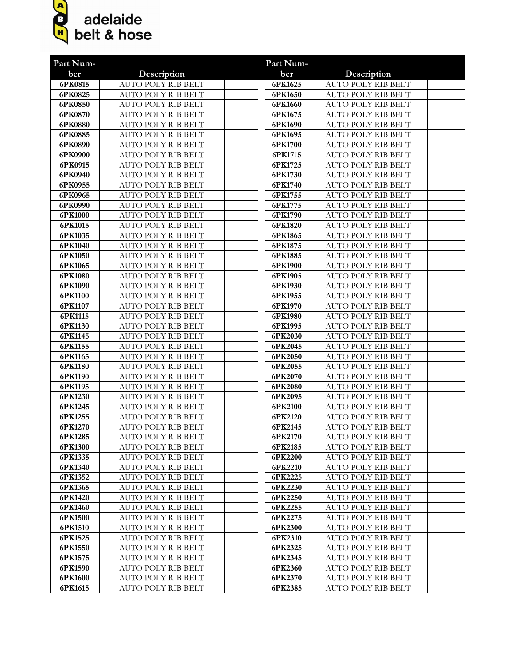

| Part Num-          |                                                 | Part Num-          |                                                 |
|--------------------|-------------------------------------------------|--------------------|-------------------------------------------------|
| ber                | Description                                     | ber                | Description                                     |
| 6PK0815            | <b>AUTO POLY RIB BELT</b>                       | 6PK1625            | <b>AUTO POLY RIB BELT</b>                       |
| 6PK0825            | <b>AUTO POLY RIB BELT</b>                       | 6PK1650            | <b>AUTO POLY RIB BELT</b>                       |
| 6PK0850            | <b>AUTO POLY RIB BELT</b>                       | 6PK1660            | <b>AUTO POLY RIB BELT</b>                       |
| 6PK0870            | AUTO POLY RIB BELT                              | 6PK1675            | <b>AUTO POLY RIB BELT</b>                       |
| 6PK0880            | AUTO POLY RIB BELT                              | 6PK1690            | <b>AUTO POLY RIB BELT</b>                       |
| 6PK0885            | AUTO POLY RIB BELT                              | 6PK1695            | <b>AUTO POLY RIB BELT</b>                       |
| 6PK0890            | <b>AUTO POLY RIB BELT</b>                       | 6PK1700            | <b>AUTO POLY RIB BELT</b>                       |
| 6PK0900            | <b>AUTO POLY RIB BELT</b>                       | 6PK1715            | <b>AUTO POLY RIB BELT</b>                       |
| 6PK0915            | <b>AUTO POLY RIB BELT</b>                       | 6PK1725            | <b>AUTO POLY RIB BELT</b>                       |
| 6PK0940            | <b>AUTO POLY RIB BELT</b>                       | 6PK1730            | <b>AUTO POLY RIB BELT</b>                       |
| 6PK0955            | <b>AUTO POLY RIB BELT</b>                       | 6PK1740            | <b>AUTO POLY RIB BELT</b>                       |
| 6PK0965            | <b>AUTO POLY RIB BELT</b>                       | 6PK1755            | <b>AUTO POLY RIB BELT</b>                       |
| 6PK0990            | <b>AUTO POLY RIB BELT</b>                       | 6PK1775            | <b>AUTO POLY RIB BELT</b>                       |
| 6PK1000            | <b>AUTO POLY RIB BELT</b>                       | 6PK1790            | <b>AUTO POLY RIB BELT</b>                       |
| 6PK1015            | <b>AUTO POLY RIB BELT</b>                       | 6PK1820            | <b>AUTO POLY RIB BELT</b>                       |
| 6PK1035            | <b>AUTO POLY RIB BELT</b>                       | 6PK1865            | <b>AUTO POLY RIB BELT</b>                       |
| 6PK1040            | <b>AUTO POLY RIB BELT</b>                       | 6PK1875            | <b>AUTO POLY RIB BELT</b>                       |
| 6PK1050            | AUTO POLY RIB BELT                              | 6PK1885            | <b>AUTO POLY RIB BELT</b>                       |
| 6PK1065            | AUTO POLY RIB BELT                              | 6PK1900            | <b>AUTO POLY RIB BELT</b>                       |
| 6PK1080            | AUTO POLY RIB BELT                              | 6PK1905            | <b>AUTO POLY RIB BELT</b>                       |
| 6PK1090            | AUTO POLY RIB BELT                              | 6PK1930            | AUTO POLY RIB BELT                              |
| 6PK1100            | AUTO POLY RIB BELT                              | 6PK1955            | AUTO POLY RIB BELT                              |
| 6PK1107            | <b>AUTO POLY RIB BELT</b>                       | 6PK1970            | <b>AUTO POLY RIB BELT</b>                       |
| 6PK1115            | <b>AUTO POLY RIB BELT</b>                       | 6PK1980            | <b>AUTO POLY RIB BELT</b>                       |
| 6PK1130            | <b>AUTO POLY RIB BELT</b>                       | 6PK1995            | <b>AUTO POLY RIB BELT</b>                       |
| 6PK1145            | <b>AUTO POLY RIB BELT</b>                       | 6PK2030            | <b>AUTO POLY RIB BELT</b>                       |
| 6PK1155            | <b>AUTO POLY RIB BELT</b>                       | 6PK2045            | <b>AUTO POLY RIB BELT</b>                       |
| 6PK1165            | <b>AUTO POLY RIB BELT</b>                       | 6PK2050            | <b>AUTO POLY RIB BELT</b>                       |
| 6PK1180            | <b>AUTO POLY RIB BELT</b>                       | 6PK2055            | <b>AUTO POLY RIB BELT</b>                       |
| 6PK1190            | <b>AUTO POLY RIB BELT</b>                       | 6PK2070            | <b>AUTO POLY RIB BELT</b>                       |
| 6PK1195            | <b>AUTO POLY RIB BELT</b>                       | 6PK2080            | <b>AUTO POLY RIB BELT</b>                       |
| 6PK1230            | AUTO POLY RIB BELT                              | 6PK2095            | <b>AUTO POLY RIB BELT</b>                       |
| 6PK1245            | AUTO POLY RIB BELT                              | 6PK2100            | AUTO POLY RIB BELT                              |
| 6PK1255            | AUTO POLY RIB BELT                              | 6PK2120            | <b>AUTO POLY RIB BELT</b>                       |
| 6PK1270            | <b>AUTO POLY RIB BELT</b>                       | 6PK2145            | <b>AUTO POLY RIB BELT</b>                       |
| 6PK1285            | AUTO POLY RIB BELT<br><b>AUTO POLY RIB BELT</b> | 6PK2170<br>6PK2185 | AUTO POLY RIB BELT<br><b>AUTO POLY RIB BELT</b> |
| 6PK1300<br>6PK1335 | AUTO POLY RIB BELT                              | 6PK2200            | <b>AUTO POLY RIB BELT</b>                       |
| 6PK1340            | <b>AUTO POLY RIB BELT</b>                       | 6PK2210            | <b>AUTO POLY RIB BELT</b>                       |
| 6PK1352            | AUTO POLY RIB BELT                              | 6PK2225            | <b>AUTO POLY RIB BELT</b>                       |
| 6PK1365            | <b>AUTO POLY RIB BELT</b>                       | 6PK2230            | <b>AUTO POLY RIB BELT</b>                       |
| 6PK1420            | <b>AUTO POLY RIB BELT</b>                       | 6PK2250            | <b>AUTO POLY RIB BELT</b>                       |
| 6PK1460            | <b>AUTO POLY RIB BELT</b>                       | 6PK2255            | <b>AUTO POLY RIB BELT</b>                       |
| 6PK1500            | AUTO POLY RIB BELT                              | 6PK2275            | <b>AUTO POLY RIB BELT</b>                       |
| 6PK1510            | AUTO POLY RIB BELT                              | 6PK2300            | <b>AUTO POLY RIB BELT</b>                       |
| 6PK1525            | AUTO POLY RIB BELT                              | 6PK2310            | <b>AUTO POLY RIB BELT</b>                       |
| 6PK1550            | AUTO POLY RIB BELT                              | 6PK2325            | <b>AUTO POLY RIB BELT</b>                       |
| 6PK1575            | AUTO POLY RIB BELT                              | 6PK2345            | <b>AUTO POLY RIB BELT</b>                       |
| 6PK1590            | AUTO POLY RIB BELT                              | 6PK2360            | <b>AUTO POLY RIB BELT</b>                       |
| 6PK1600            | AUTO POLY RIB BELT                              | 6PK2370            | AUTO POLY RIB BELT                              |
| 6PK1615            | AUTO POLY RIB BELT                              | 6PK2385            | AUTO POLY RIB BELT                              |